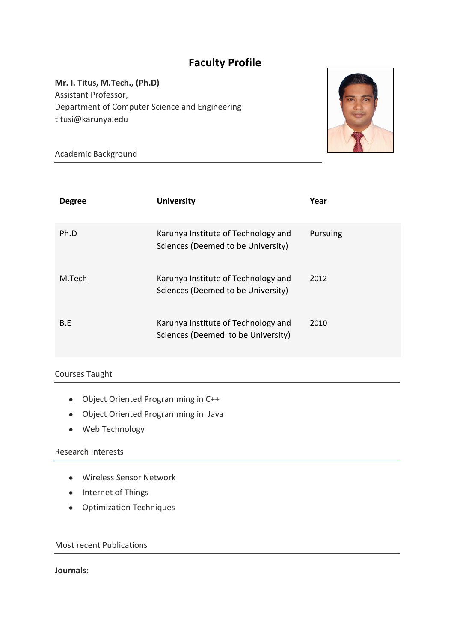# **Faculty Profile**

**Mr. I. Titus, M.Tech., (Ph.D)** Assistant Professor, Department of Computer Science and Engineering titusi@karunya.edu



Academic Background

| <b>Degree</b> | <b>University</b>                                                         | Year     |
|---------------|---------------------------------------------------------------------------|----------|
| Ph.D          | Karunya Institute of Technology and<br>Sciences (Deemed to be University) | Pursuing |
| M.Tech        | Karunya Institute of Technology and<br>Sciences (Deemed to be University) | 2012     |
| B.E           | Karunya Institute of Technology and<br>Sciences (Deemed to be University) | 2010     |

## Courses Taught

- Object Oriented Programming in C++
- Object Oriented Programming in Java
- Web Technology

#### Research Interests

- Wireless Sensor Network
- Internet of Things
- Optimization Techniques

Most recent Publications

#### **Journals:**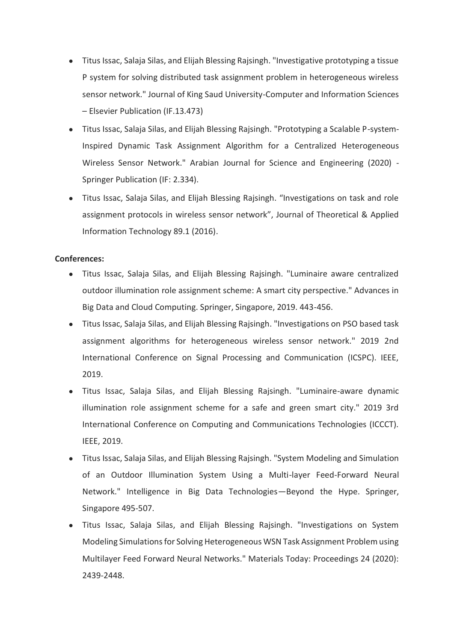- Titus Issac, Salaja Silas, and Elijah Blessing Rajsingh. "Investigative prototyping a tissue P system for solving distributed task assignment problem in heterogeneous wireless sensor network." Journal of King Saud University-Computer and Information Sciences – Elsevier Publication (IF.13.473)
- Titus Issac, Salaja Silas, and Elijah Blessing Rajsingh. "Prototyping a Scalable P-system-Inspired Dynamic Task Assignment Algorithm for a Centralized Heterogeneous Wireless Sensor Network." Arabian Journal for Science and Engineering (2020) - Springer Publication (IF: 2.334).
- Titus Issac, Salaja Silas, and Elijah Blessing Rajsingh. "Investigations on task and role assignment protocols in wireless sensor network", Journal of Theoretical & Applied Information Technology 89.1 (2016).

#### **Conferences:**

- Titus Issac, Salaja Silas, and Elijah Blessing Rajsingh. "Luminaire aware centralized outdoor illumination role assignment scheme: A smart city perspective." Advances in Big Data and Cloud Computing. Springer, Singapore, 2019. 443-456.
- Titus Issac, Salaja Silas, and Elijah Blessing Rajsingh. "Investigations on PSO based task assignment algorithms for heterogeneous wireless sensor network." 2019 2nd International Conference on Signal Processing and Communication (ICSPC). IEEE, 2019.
- Titus Issac, Salaja Silas, and Elijah Blessing Rajsingh. "Luminaire-aware dynamic illumination role assignment scheme for a safe and green smart city." 2019 3rd International Conference on Computing and Communications Technologies (ICCCT). IEEE, 2019.
- Titus Issac, Salaja Silas, and Elijah Blessing Rajsingh. "System Modeling and Simulation of an Outdoor Illumination System Using a Multi-layer Feed-Forward Neural Network." Intelligence in Big Data Technologies—Beyond the Hype. Springer, Singapore 495-507.
- Titus Issac, Salaja Silas, and Elijah Blessing Rajsingh. "Investigations on System Modeling Simulations for Solving Heterogeneous WSN Task Assignment Problem using Multilayer Feed Forward Neural Networks." Materials Today: Proceedings 24 (2020): 2439-2448.